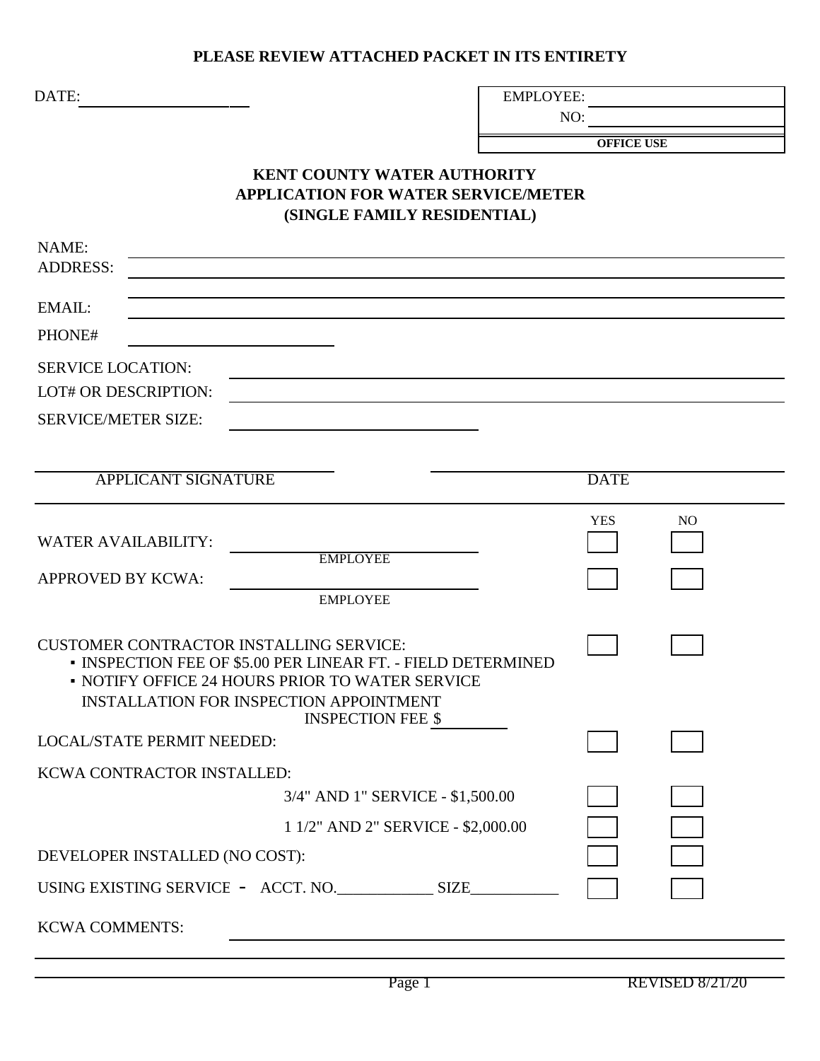## **PLEASE REVIEW ATTACHED PACKET IN ITS ENTIRETY**

DATE:

EMPLOYEE:

NO:

**OFFICE USE**

## **KENT COUNTY WATER AUTHORITY APPLICATION FOR WATER SERVICE/METER (SINGLE FAMILY RESIDENTIAL)**

| NAME:                                                                                                                                                                                                                                           |             |                |
|-------------------------------------------------------------------------------------------------------------------------------------------------------------------------------------------------------------------------------------------------|-------------|----------------|
| <b>ADDRESS:</b>                                                                                                                                                                                                                                 |             |                |
| EMAIL:                                                                                                                                                                                                                                          |             |                |
| PHONE#                                                                                                                                                                                                                                          |             |                |
| <b>SERVICE LOCATION:</b>                                                                                                                                                                                                                        |             |                |
| <b>LOT# OR DESCRIPTION:</b>                                                                                                                                                                                                                     |             |                |
| <b>SERVICE/METER SIZE:</b>                                                                                                                                                                                                                      |             |                |
|                                                                                                                                                                                                                                                 |             |                |
| <b>APPLICANT SIGNATURE</b>                                                                                                                                                                                                                      | <b>DATE</b> |                |
| <b>WATER AVAILABILITY:</b><br><b>EMPLOYEE</b>                                                                                                                                                                                                   | <b>YES</b>  | N <sub>O</sub> |
| <b>APPROVED BY KCWA:</b><br><b>EMPLOYEE</b>                                                                                                                                                                                                     |             |                |
| <b>CUSTOMER CONTRACTOR INSTALLING SERVICE:</b><br>• INSPECTION FEE OF \$5.00 PER LINEAR FT. - FIELD DETERMINED<br>• NOTIFY OFFICE 24 HOURS PRIOR TO WATER SERVICE<br><b>INSTALLATION FOR INSPECTION APPOINTMENT</b><br><b>INSPECTION FEE \$</b> |             |                |
| <b>LOCAL/STATE PERMIT NEEDED:</b>                                                                                                                                                                                                               |             |                |
| KCWA CONTRACTOR INSTALLED:                                                                                                                                                                                                                      |             |                |
| 3/4" AND 1" SERVICE - \$1,500.00                                                                                                                                                                                                                |             |                |
| 1 1/2" AND 2" SERVICE - \$2,000.00                                                                                                                                                                                                              |             |                |
| DEVELOPER INSTALLED (NO COST):                                                                                                                                                                                                                  |             |                |
|                                                                                                                                                                                                                                                 |             |                |
| <b>KCWA COMMENTS:</b>                                                                                                                                                                                                                           |             |                |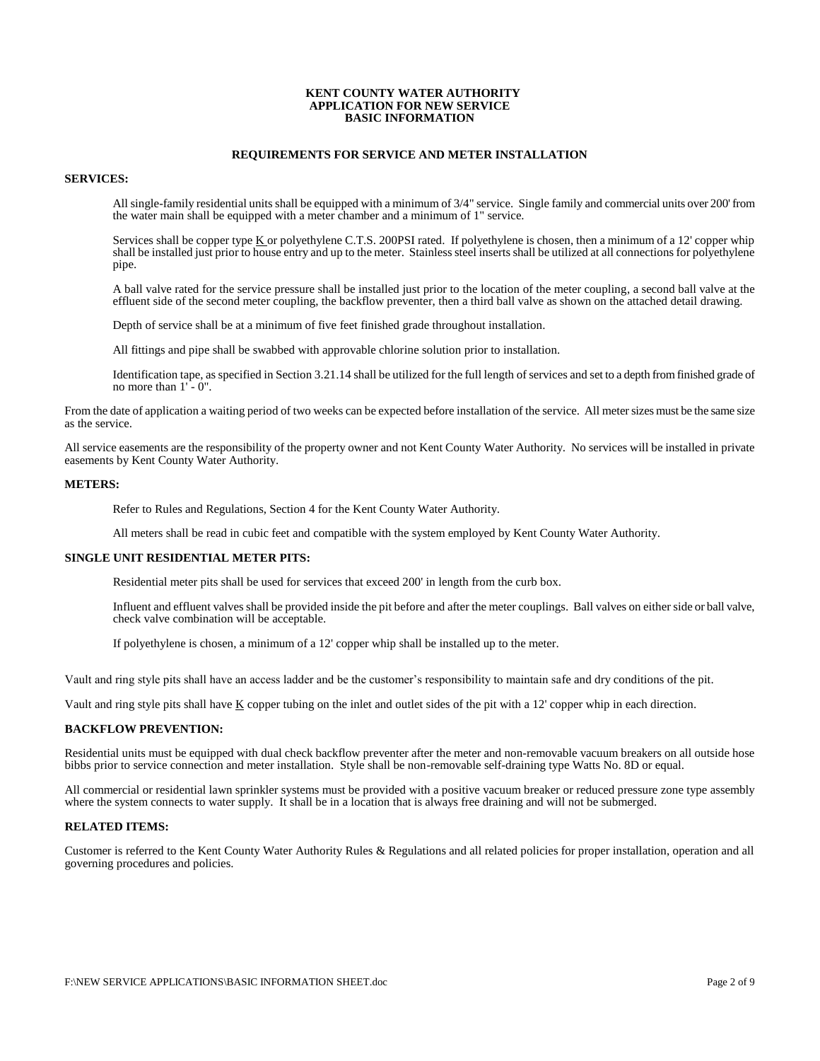#### **KENT COUNTY WATER AUTHORITY APPLICATION FOR NEW SERVICE BASIC INFORMATION**

#### **REQUIREMENTS FOR SERVICE AND METER INSTALLATION**

#### **SERVICES:**

All single-family residential units shall be equipped with a minimum of 3/4" service. Single family and commercial units over 200' from the water main shall be equipped with a meter chamber and a minimum of 1" service.

Services shall be copper type K or polyethylene C.T.S. 200PSI rated. If polyethylene is chosen, then a minimum of a 12' copper whip shall be installed just prior to house entry and up to the meter. Stainless steel inserts shall be utilized at all connections for polyethylene pipe.

A ball valve rated for the service pressure shall be installed just prior to the location of the meter coupling, a second ball valve at the effluent side of the second meter coupling, the backflow preventer, then a third ball valve as shown on the attached detail drawing.

Depth of service shall be at a minimum of five feet finished grade throughout installation.

All fittings and pipe shall be swabbed with approvable chlorine solution prior to installation.

Identification tape, as specified in Section 3.21.14 shall be utilized for the full length of services and set to a depth from finished grade of no more than 1' - 0".

From the date of application a waiting period of two weeks can be expected before installation of the service. All meter sizes must be the same size as the service.

All service easements are the responsibility of the property owner and not Kent County Water Authority. No services will be installed in private easements by Kent County Water Authority.

#### **METERS:**

Refer to Rules and Regulations, Section 4 for the Kent County Water Authority.

All meters shall be read in cubic feet and compatible with the system employed by Kent County Water Authority.

#### **SINGLE UNIT RESIDENTIAL METER PITS:**

Residential meter pits shall be used for services that exceed 200' in length from the curb box.

Influent and effluent valves shall be provided inside the pit before and after the meter couplings. Ball valves on either side or ball valve, check valve combination will be acceptable.

If polyethylene is chosen, a minimum of a 12' copper whip shall be installed up to the meter.

Vault and ring style pits shall have an access ladder and be the customer's responsibility to maintain safe and dry conditions of the pit.

Vault and ring style pits shall have  $\underline{K}$  copper tubing on the inlet and outlet sides of the pit with a 12' copper whip in each direction.

#### **BACKFLOW PREVENTION:**

Residential units must be equipped with dual check backflow preventer after the meter and non-removable vacuum breakers on all outside hose bibbs prior to service connection and meter installation. Style shall be non-removable self-draining type Watts No. 8D or equal.

All commercial or residential lawn sprinkler systems must be provided with a positive vacuum breaker or reduced pressure zone type assembly where the system connects to water supply. It shall be in a location that is always free draining and will not be submerged.

#### **RELATED ITEMS:**

Customer is referred to the Kent County Water Authority Rules & Regulations and all related policies for proper installation, operation and all governing procedures and policies.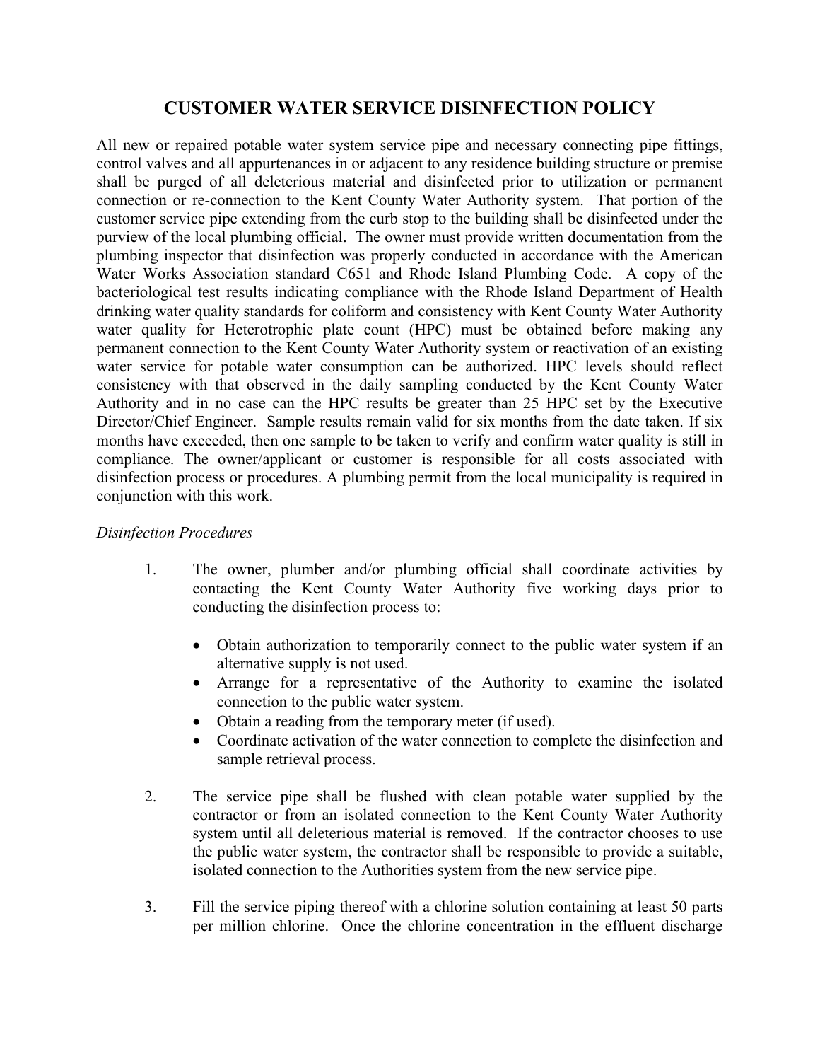## **CUSTOMER WATER SERVICE DISINFECTION POLICY**

All new or repaired potable water system service pipe and necessary connecting pipe fittings, control valves and all appurtenances in or adjacent to any residence building structure or premise shall be purged of all deleterious material and disinfected prior to utilization or permanent connection or re-connection to the Kent County Water Authority system. That portion of the customer service pipe extending from the curb stop to the building shall be disinfected under the purview of the local plumbing official. The owner must provide written documentation from the plumbing inspector that disinfection was properly conducted in accordance with the American Water Works Association standard C651 and Rhode Island Plumbing Code. A copy of the bacteriological test results indicating compliance with the Rhode Island Department of Health drinking water quality standards for coliform and consistency with Kent County Water Authority water quality for Heterotrophic plate count (HPC) must be obtained before making any permanent connection to the Kent County Water Authority system or reactivation of an existing water service for potable water consumption can be authorized. HPC levels should reflect consistency with that observed in the daily sampling conducted by the Kent County Water Authority and in no case can the HPC results be greater than 25 HPC set by the Executive Director/Chief Engineer. Sample results remain valid for six months from the date taken. If six months have exceeded, then one sample to be taken to verify and confirm water quality is still in compliance. The owner/applicant or customer is responsible for all costs associated with disinfection process or procedures. A plumbing permit from the local municipality is required in conjunction with this work.

#### *Disinfection Procedures*

- 1. The owner, plumber and/or plumbing official shall coordinate activities by contacting the Kent County Water Authority five working days prior to conducting the disinfection process to:
	- Obtain authorization to temporarily connect to the public water system if an alternative supply is not used.
	- Arrange for a representative of the Authority to examine the isolated connection to the public water system.
	- Obtain a reading from the temporary meter (if used).
	- Coordinate activation of the water connection to complete the disinfection and sample retrieval process.
- 2. The service pipe shall be flushed with clean potable water supplied by the contractor or from an isolated connection to the Kent County Water Authority system until all deleterious material is removed. If the contractor chooses to use the public water system, the contractor shall be responsible to provide a suitable, isolated connection to the Authorities system from the new service pipe.
- 3. Fill the service piping thereof with a chlorine solution containing at least 50 parts per million chlorine. Once the chlorine concentration in the effluent discharge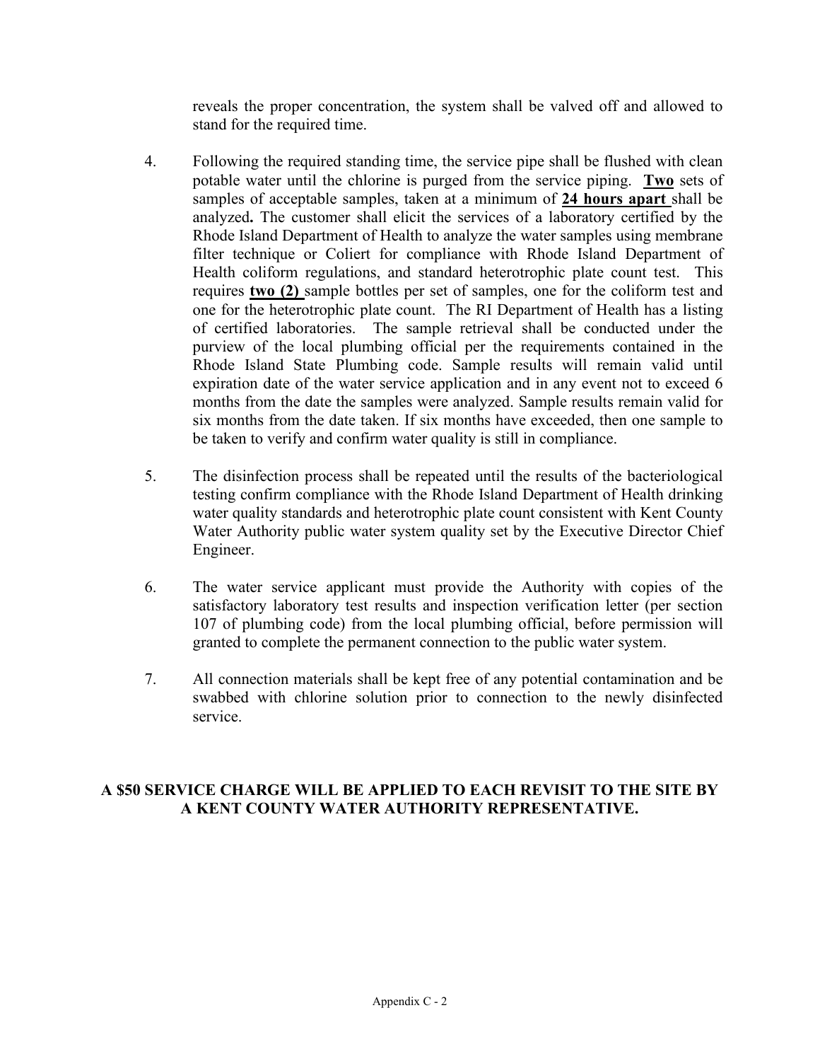reveals the proper concentration, the system shall be valved off and allowed to stand for the required time.

- 4. Following the required standing time, the service pipe shall be flushed with clean potable water until the chlorine is purged from the service piping. **Two** sets of samples of acceptable samples, taken at a minimum of **24 hours apart** shall be analyzed**.** The customer shall elicit the services of a laboratory certified by the Rhode Island Department of Health to analyze the water samples using membrane filter technique or Coliert for compliance with Rhode Island Department of Health coliform regulations, and standard heterotrophic plate count test. This requires **two (2)** sample bottles per set of samples, one for the coliform test and one for the heterotrophic plate count. The RI Department of Health has a listing of certified laboratories. The sample retrieval shall be conducted under the purview of the local plumbing official per the requirements contained in the Rhode Island State Plumbing code. Sample results will remain valid until expiration date of the water service application and in any event not to exceed 6 months from the date the samples were analyzed. Sample results remain valid for six months from the date taken. If six months have exceeded, then one sample to be taken to verify and confirm water quality is still in compliance.
- 5. The disinfection process shall be repeated until the results of the bacteriological testing confirm compliance with the Rhode Island Department of Health drinking water quality standards and heterotrophic plate count consistent with Kent County Water Authority public water system quality set by the Executive Director Chief Engineer.
- 6. The water service applicant must provide the Authority with copies of the satisfactory laboratory test results and inspection verification letter (per section 107 of plumbing code) from the local plumbing official, before permission will granted to complete the permanent connection to the public water system.
- 7. All connection materials shall be kept free of any potential contamination and be swabbed with chlorine solution prior to connection to the newly disinfected service.

#### **A \$50 SERVICE CHARGE WILL BE APPLIED TO EACH REVISIT TO THE SITE BY A KENT COUNTY WATER AUTHORITY REPRESENTATIVE.**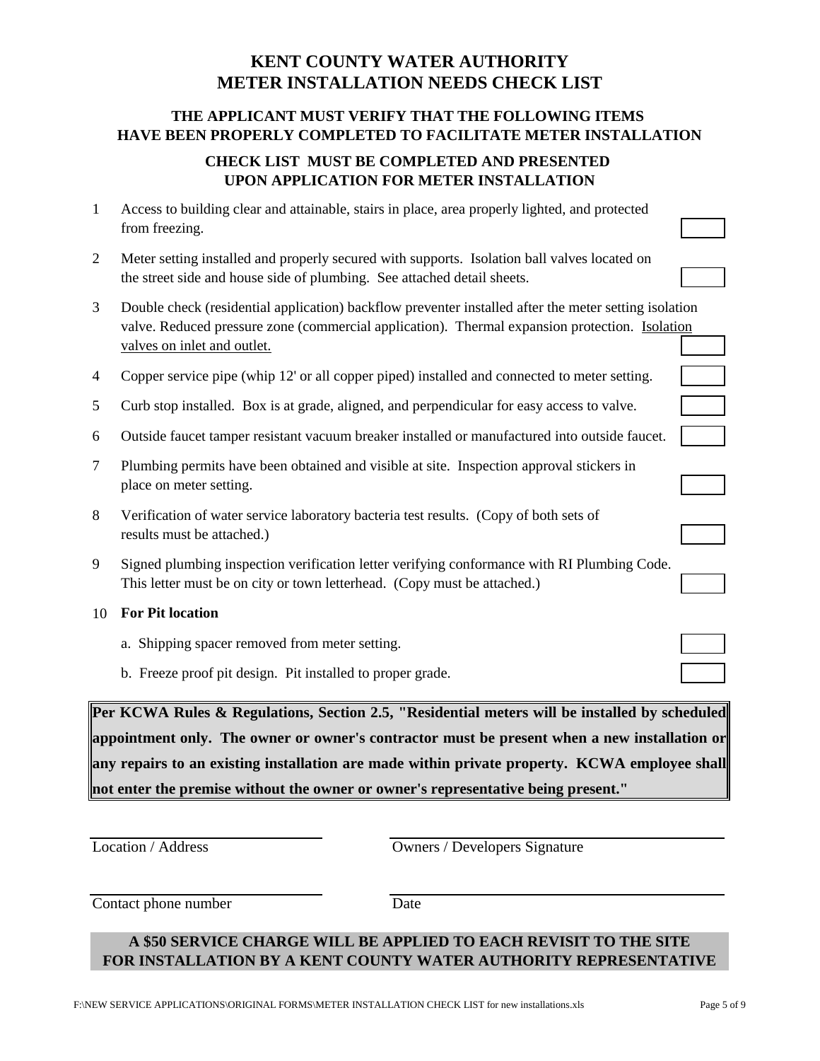## **KENT COUNTY WATER AUTHORITY METER INSTALLATION NEEDS CHECK LIST**

## **THE APPLICANT MUST VERIFY THAT THE FOLLOWING ITEMS HAVE BEEN PROPERLY COMPLETED TO FACILITATE METER INSTALLATION**

## **CHECK LIST MUST BE COMPLETED AND PRESENTED UPON APPLICATION FOR METER INSTALLATION**

| $\mathbf{1}$ | Access to building clear and attainable, stairs in place, area properly lighted, and protected<br>from freezing.                                                                                                                       |  |  |  |  |
|--------------|----------------------------------------------------------------------------------------------------------------------------------------------------------------------------------------------------------------------------------------|--|--|--|--|
| 2            | Meter setting installed and properly secured with supports. Isolation ball valves located on<br>the street side and house side of plumbing. See attached detail sheets.                                                                |  |  |  |  |
| 3            | Double check (residential application) backflow preventer installed after the meter setting isolation<br>valve. Reduced pressure zone (commercial application). Thermal expansion protection. Isolation<br>valves on inlet and outlet. |  |  |  |  |
| 4            | Copper service pipe (whip 12' or all copper piped) installed and connected to meter setting.                                                                                                                                           |  |  |  |  |
| 5            | Curb stop installed. Box is at grade, aligned, and perpendicular for easy access to valve.                                                                                                                                             |  |  |  |  |
| 6            | Outside faucet tamper resistant vacuum breaker installed or manufactured into outside faucet.                                                                                                                                          |  |  |  |  |
| $\tau$       | Plumbing permits have been obtained and visible at site. Inspection approval stickers in<br>place on meter setting.                                                                                                                    |  |  |  |  |
| 8            | Verification of water service laboratory bacteria test results. (Copy of both sets of<br>results must be attached.)                                                                                                                    |  |  |  |  |
| 9            | Signed plumbing inspection verification letter verifying conformance with RI Plumbing Code.<br>This letter must be on city or town letterhead. (Copy must be attached.)                                                                |  |  |  |  |
| 10           | <b>For Pit location</b>                                                                                                                                                                                                                |  |  |  |  |
|              | a. Shipping spacer removed from meter setting.                                                                                                                                                                                         |  |  |  |  |
|              | b. Freeze proof pit design. Pit installed to proper grade.                                                                                                                                                                             |  |  |  |  |
|              | Per KCWA Rules & Regulations, Section 2.5, "Residential meters will be installed by scheduled                                                                                                                                          |  |  |  |  |

**appointment only. The owner or owner's contractor must be present when a new installation or any repairs to an existing installation are made within private property. KCWA employee shall not enter the premise without the owner or owner's representative being present."**

Location / Address **Owners / Developers Signature** 

Contact phone number Date

## **FOR INSTALLATION BY A KENT COUNTY WATER AUTHORITY REPRESENTATIVE A \$50 SERVICE CHARGE WILL BE APPLIED TO EACH REVISIT TO THE SITE**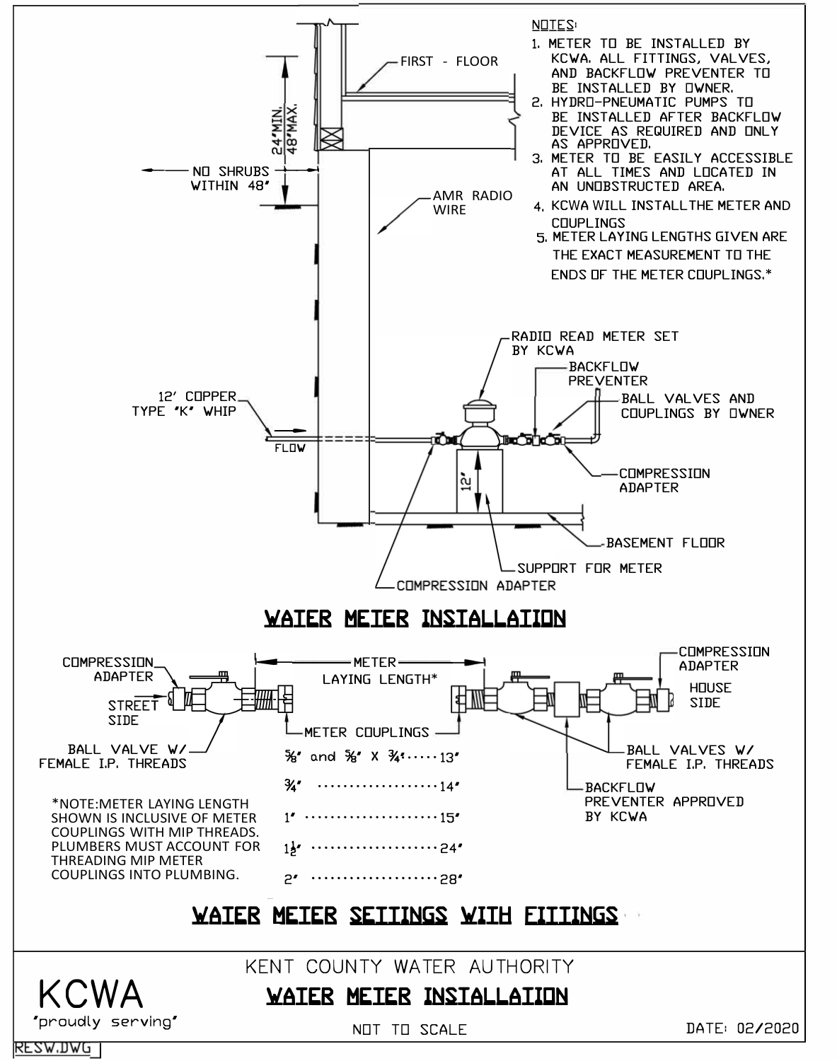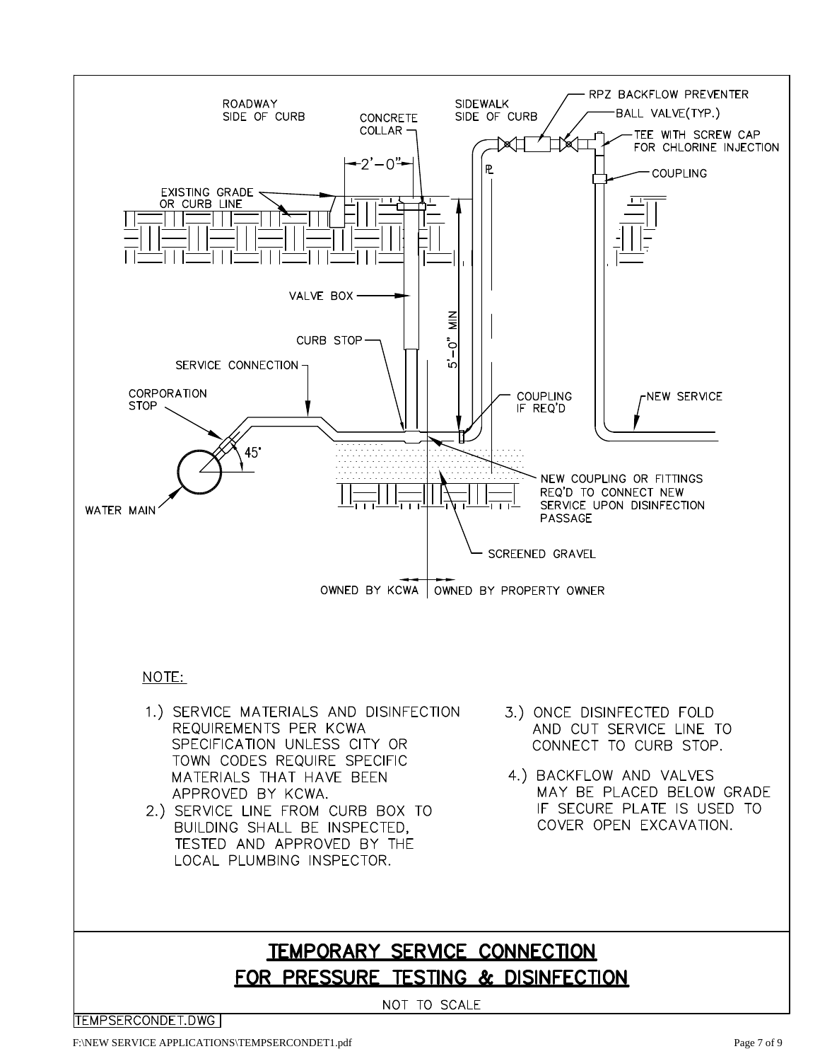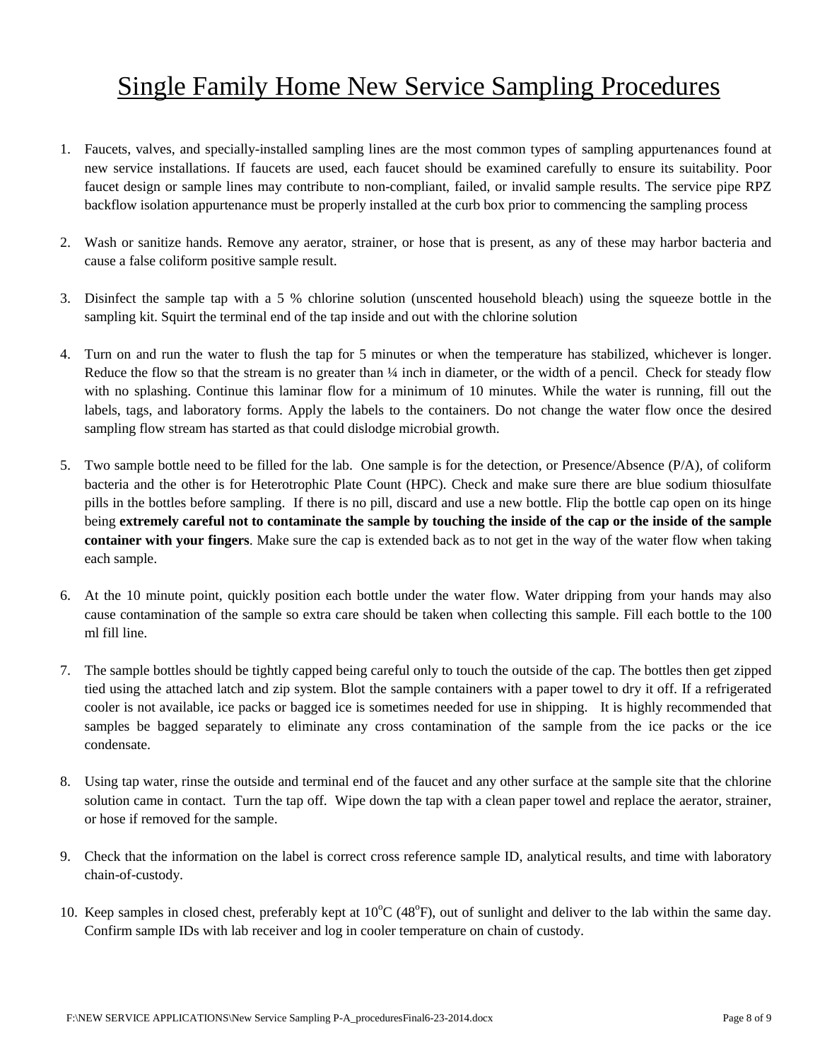# Single Family Home New Service Sampling Procedures

- 1. Faucets, valves, and specially-installed sampling lines are the most common types of sampling appurtenances found at new service installations. If faucets are used, each faucet should be examined carefully to ensure its suitability. Poor faucet design or sample lines may contribute to non-compliant, failed, or invalid sample results. The service pipe RPZ backflow isolation appurtenance must be properly installed at the curb box prior to commencing the sampling process
- 2. Wash or sanitize hands. Remove any aerator, strainer, or hose that is present, as any of these may harbor bacteria and cause a false coliform positive sample result.
- 3. Disinfect the sample tap with a 5 % chlorine solution (unscented household bleach) using the squeeze bottle in the sampling kit. Squirt the terminal end of the tap inside and out with the chlorine solution
- 4. Turn on and run the water to flush the tap for 5 minutes or when the temperature has stabilized, whichever is longer. Reduce the flow so that the stream is no greater than  $\frac{1}{4}$  inch in diameter, or the width of a pencil. Check for steady flow with no splashing. Continue this laminar flow for a minimum of 10 minutes. While the water is running, fill out the labels, tags, and laboratory forms. Apply the labels to the containers. Do not change the water flow once the desired sampling flow stream has started as that could dislodge microbial growth.
- 5. Two sample bottle need to be filled for the lab. One sample is for the detection, or Presence/Absence (P/A), of coliform bacteria and the other is for Heterotrophic Plate Count (HPC). Check and make sure there are blue sodium thiosulfate pills in the bottles before sampling. If there is no pill, discard and use a new bottle. Flip the bottle cap open on its hinge being **extremely careful not to contaminate the sample by touching the inside of the cap or the inside of the sample container with your fingers**. Make sure the cap is extended back as to not get in the way of the water flow when taking each sample.
- 6. At the 10 minute point, quickly position each bottle under the water flow. Water dripping from your hands may also cause contamination of the sample so extra care should be taken when collecting this sample. Fill each bottle to the 100 ml fill line.
- 7. The sample bottles should be tightly capped being careful only to touch the outside of the cap. The bottles then get zipped tied using the attached latch and zip system. Blot the sample containers with a paper towel to dry it off. If a refrigerated cooler is not available, ice packs or bagged ice is sometimes needed for use in shipping. It is highly recommended that samples be bagged separately to eliminate any cross contamination of the sample from the ice packs or the ice condensate.
- 8. Using tap water, rinse the outside and terminal end of the faucet and any other surface at the sample site that the chlorine solution came in contact. Turn the tap off. Wipe down the tap with a clean paper towel and replace the aerator, strainer, or hose if removed for the sample.
- 9. Check that the information on the label is correct cross reference sample ID, analytical results, and time with laboratory chain-of-custody.
- 10. Keep samples in closed chest, preferably kept at  $10^{\circ}$ C (48 $^{\circ}$ F), out of sunlight and deliver to the lab within the same day. Confirm sample IDs with lab receiver and log in cooler temperature on chain of custody.